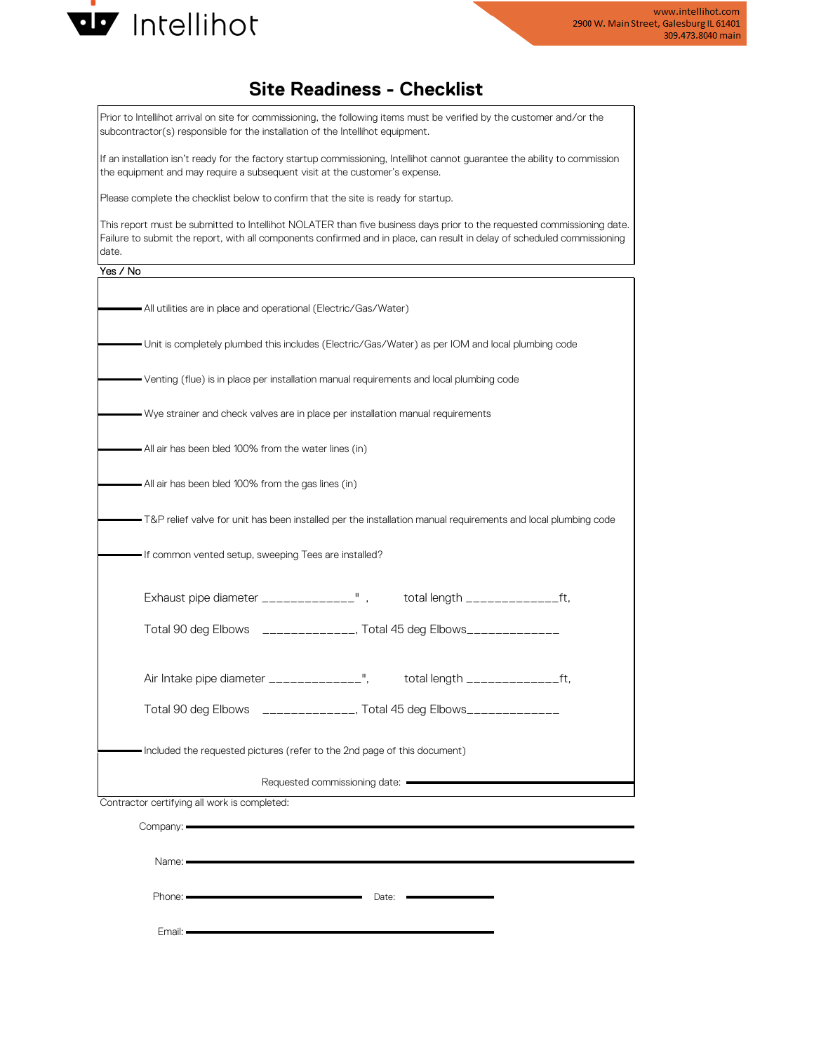

## **Site Readiness - Checklist**

Prior to Intellihot arrival on site for commissioning, the following items must be verified by the customer and/or the subcontractor(s) responsible for the installation of the Intellihot equipment.

If an installation isn't ready for the factory startup commissioning, Intellihot cannot guarantee the ability to commission the equipment and may require a subsequent visit at the customer's expense.

Please complete the checklist below to confirm that the site is ready for startup.

This report must be submitted to Intellihot NOLATER than five business days prior to the requested commissioning date. Failure to submit the report, with all components confirmed and in place, can result in delay of scheduled commissioning date.

## Yes / No

| All utilities are in place and operational (Electric/Gas/Water)                                               |  |
|---------------------------------------------------------------------------------------------------------------|--|
| - Unit is completely plumbed this includes (Electric/Gas/Water) as per IOM and local plumbing code            |  |
| Venting (flue) is in place per installation manual requirements and local plumbing code                       |  |
| Wye strainer and check valves are in place per installation manual requirements                               |  |
| All air has been bled 100% from the water lines (in)                                                          |  |
| - All air has been bled 100% from the gas lines (in)                                                          |  |
| T&P relief valve for unit has been installed per the installation manual requirements and local plumbing code |  |
| If common vented setup, sweeping Tees are installed?                                                          |  |
| Exhaust pipe diameter ______________", total length _________________ft,                                      |  |
| Total 90 deg Elbows ______________, Total 45 deg Elbows_____________                                          |  |
| Air Intake pipe diameter ______________", total length __________________________                             |  |
| Total 90 deg Elbows ______________, Total 45 deg Elbows_____________                                          |  |
| Included the requested pictures (refer to the 2nd page of this document)                                      |  |
| Requested commissioning date:                                                                                 |  |
| Contractor certifying all work is completed:                                                                  |  |
| Company:                                                                                                      |  |
|                                                                                                               |  |
| Name: =                                                                                                       |  |

Phone:

Date:

Email: